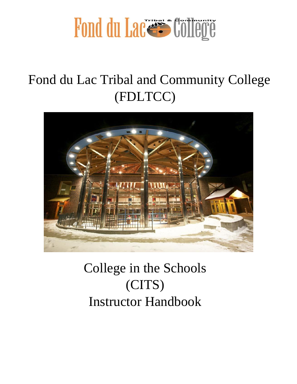

# Fond du Lac Tribal and Community College (FDLTCC)



# College in the Schools (CITS) Instructor Handbook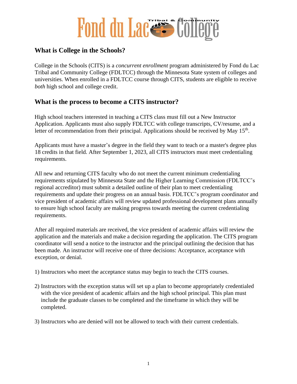### **What is College in the Schools?**

College in the Schools (CITS) is a *concurrent enrollment* program administered by Fond du Lac Tribal and Community College (FDLTCC) through the Minnesota State system of colleges and universities. When enrolled in a FDLTCC course through CITS, students are eligible to receive *both* high school and college credit.

### **What is the process to become a CITS instructor?**

High school teachers interested in teaching a CITS class must fill out a New Instructor Application. Applicants must also supply FDLTCC with college transcripts, CV/resume, and a letter of recommendation from their principal. Applications should be received by May  $15<sup>th</sup>$ .

Applicants must have a master's degree in the field they want to teach or a master's degree plus 18 credits in that field. After September 1, 2023, all CITS instructors must meet credentialing requirements.

All new and returning CITS faculty who do not meet the current minimum credentialing requirements stipulated by Minnesota State and the Higher Learning Commission (FDLTCC's regional accreditor) must submit a detailed outline of their plan to meet credentialing requirements and update their progress on an annual basis. FDLTCC's program coordinator and vice president of academic affairs will review updated professional development plans annually to ensure high school faculty are making progress towards meeting the current credentialing requirements.

After all required materials are received, the vice president of academic affairs will review the application and the materials and make a decision regarding the application. The CITS program coordinator will send a notice to the instructor and the principal outlining the decision that has been made. An instructor will receive one of three decisions: Acceptance, acceptance with exception, or denial.

- 1) Instructors who meet the acceptance status may begin to teach the CITS courses.
- 2) Instructors with the exception status will set up a plan to become appropriately credentialed with the vice president of academic affairs and the high school principal. This plan must include the graduate classes to be completed and the timeframe in which they will be completed.
- 3) Instructors who are denied will not be allowed to teach with their current credentials.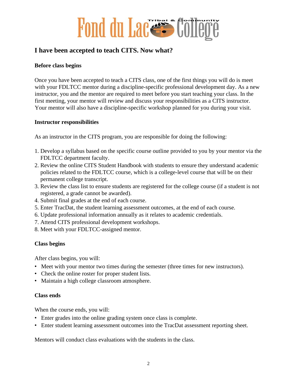

### **I have been accepted to teach CITS. Now what?**

#### **Before class begins**

Once you have been accepted to teach a CITS class, one of the first things you will do is meet with your FDLTCC mentor during a discipline-specific professional development day. As a new instructor, you and the mentor are required to meet before you start teaching your class. In the first meeting, your mentor will review and discuss your responsibilities as a CITS instructor. Your mentor will also have a discipline-specific workshop planned for you during your visit.

#### **Instructor responsibilities**

As an instructor in the CITS program, you are responsible for doing the following:

- 1. Develop a syllabus based on the specific course outline provided to you by your mentor via the FDLTCC department faculty.
- 2. Review the online CITS Student Handbook with students to ensure they understand academic policies related to the FDLTCC course, which is a college-level course that will be on their permanent college transcript.
- 3. Review the class list to ensure students are registered for the college course (if a student is not registered, a grade cannot be awarded).
- 4. Submit final grades at the end of each course.
- 5. Enter TracDat, the student learning assessment outcomes, at the end of each course.
- 6. Update professional information annually as it relates to academic credentials.
- 7. Attend CITS professional development workshops.
- 8. Meet with your FDLTCC-assigned mentor.

#### **Class begins**

After class begins, you will:

- Meet with your mentor two times during the semester (three times for new instructors).
- Check the online roster for proper student lists.
- Maintain a high college classroom atmosphere.

#### **Class ends**

When the course ends, you will:

- Enter grades into the online grading system once class is complete.
- Enter student learning assessment outcomes into the TracDat assessment reporting sheet.

Mentors will conduct class evaluations with the students in the class.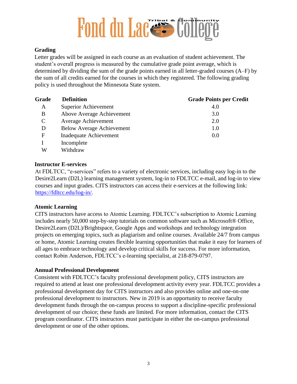#### **Grading**

Letter grades will be assigned in each course as an evaluation of student achievement. The student's overall progress is measured by the cumulative grade point average, which is determined by dividing the sum of the grade points earned in all letter-graded courses (A–F) by the sum of all credits earned for the courses in which they registered. The following grading policy is used throughout the Minnesota State system.

| Grade         | <b>Definition</b>                | <b>Grade Points per Credit</b> |
|---------------|----------------------------------|--------------------------------|
| A             | <b>Superior Achievement</b>      | 4.0                            |
| B             | Above Average Achievement        | 3.0                            |
| $\mathcal{C}$ | <b>Average Achievement</b>       | 2.0                            |
| D             | <b>Below Average Achievement</b> | 1.0                            |
| F             | Inadequate Achievement           | 0.0                            |
|               | Incomplete                       |                                |
| W             | Withdraw                         |                                |

#### **Instructor E-services**

At FDLTCC, "e-services" refers to a variety of electronic services, including easy log-in to the Desire2Learn (D2L) learning management system, log-in to FDLTCC e-mail, and log-in to view courses and input grades. CITS instructors can access their e-services at the following link: [https://fdltcc.edu/log-in/.](https://fdltcc.edu/log-in/)

#### **Atomic Learning**

CITS instructors have access to Atomic Learning. FDLTCC's subscription to Atomic Learning includes nearly 50,000 step-by-step tutorials on common software such as Microsoft® Office, Desire2Learn (D2L)/Brightspace, Google Apps and workshops and technology integration projects on emerging topics, such as plagiarism and online courses. Available 24/7 from campus or home, Atomic Learning creates flexible learning opportunities that make it easy for learners of all ages to embrace technology and develop critical skills for success. For more information, contact Robin Anderson, FDLTCC's e-learning specialist, at 218-879-0797.

#### **Annual Professional Development**

Consistent with FDLTCC's faculty professional development policy, CITS instructors are required to attend at least one professional development activity every year. FDLTCC provides a professional development day for CITS instructors and also provides online and one-on-one professional development to instructors. New in 2019 is an opportunity to receive faculty development funds through the on-campus process to support a discipline-specific professional development of our choice; these funds are limited. For more information, contact the CITS program coordinator. CITS instructors must participate in either the on-campus professional development or one of the other options.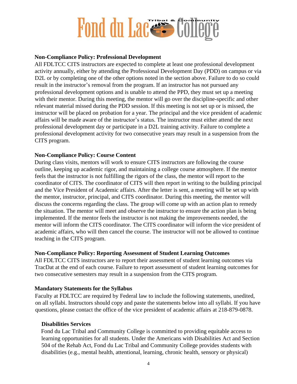#### **Non-Compliance Policy: Professional Development**

All FDLTCC CITS instructors are expected to complete at least one professional development activity annually, either by attending the Professional Development Day (PDD) on campus or via D2L or by completing one of the other options noted in the section above. Failure to do so could result in the instructor's removal from the program. If an instructor has not pursued any professional development options and is unable to attend the PPD, they must set up a meeting with their mentor. During this meeting, the mentor will go over the discipline-specific and other relevant material missed during the PDD session. If this meeting is not set up or is missed, the instructor will be placed on probation for a year. The principal and the vice president of academic affairs will be made aware of the instructor's status. The instructor must either attend the next professional development day or participate in a D2L training activity. Failure to complete a professional development activity for two consecutive years may result in a suspension from the CITS program.

#### **Non-Compliance Policy: Course Content**

During class visits, mentors will work to ensure CITS instructors are following the course outline, keeping up academic rigor, and maintaining a college course atmosphere. If the mentor feels that the instructor is not fulfilling the rigors of the class, the mentor will report to the coordinator of CITS. The coordinator of CITS will then report in writing to the building principal and the Vice President of Academic affairs. After the letter is sent, a meeting will be set up with the mentor, instructor, principal, and CITS coordinator. During this meeting, the mentor will discuss the concerns regarding the class. The group will come up with an action plan to remedy the situation. The mentor will meet and observe the instructor to ensure the action plan is being implemented. If the mentor feels the instructor is not making the improvements needed, the mentor will inform the CITS coordinator. The CITS coordinator will inform the vice president of academic affairs, who will then cancel the course. The instructor will not be allowed to continue teaching in the CITS program.

#### **Non-Compliance Policy: Reporting Assessment of Student Learning Outcomes**

All FDLTCC CITS instructors are to report their assessment of student learning outcomes via TracDat at the end of each course. Failure to report assessment of student learning outcomes for two consecutive semesters may result in a suspension from the CITS program.

#### **Mandatory Statements for the Syllabus**

Faculty at FDLTCC are required by Federal law to include the following statements, unedited, on all syllabi. Instructors should copy and paste the statements below into all syllabi. If you have questions, please contact the office of the vice president of academic affairs at 218-879-0878.

#### **Disabilities Services**

Fond du Lac Tribal and Community College is committed to providing equitable access to learning opportunities for all students. Under the Americans with Disabilities Act and Section 504 of the Rehab Act, Fond du Lac Tribal and Community College provides students with disabilities (e.g., mental health, attentional, learning, chronic health, sensory or physical)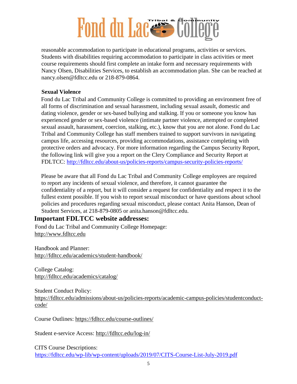reasonable accommodation to participate in educational programs, activities or services. Students with disabilities requiring accommodation to participate in class activities or meet course requirements should first complete an intake form and necessary requirements with Nancy Olsen, Disabilities Services, to establish an accommodation plan. She can be reached at nancy.olsen@fdltcc.edu or 218-879-0864.

#### **Sexual Violence**

Fond du Lac Tribal and Community College is committed to providing an environment free of all forms of discrimination and sexual harassment, including sexual assault, domestic and dating violence, gender or sex-based bullying and stalking. If you or someone you know has experienced gender or sex-based violence (intimate partner violence, attempted or completed sexual assault, harassment, coercion, stalking, etc.), know that you are not alone. Fond du Lac Tribal and Community College has staff members trained to support survivors in navigating campus life, accessing resources, providing accommodations, assistance completing with protective orders and advocacy. For more information regarding the Campus Security Report, the following link will give you a report on the Clery Compliance and Security Report at FDLTCC:<http://fdltcc.edu/about-us/policies-reports/campus-security-policies-reports/>

Please be aware that all Fond du Lac Tribal and Community College employees are required to report any incidents of sexual violence, and therefore, it cannot guarantee the confidentiality of a report, but it will consider a request for confidentiality and respect it to the fullest extent possible. If you wish to report sexual misconduct or have questions about school policies and procedures regarding sexual misconduct, please contact Anita Hanson, Dean of Student Services, at 218-879-0805 or anita.hanson@fdltcc.edu.

### **Important FDLTCC website addresses:**

Fond du Lac Tribal and Community College Homepage: [http://www.fdltcc.edu](http://www.fdltcc.edu/)

Handbook and Planner: <http://fdltcc.edu/academics/student-handbook/>

College Catalog: <http://fdltcc.edu/academics/catalog/>

Student Conduct Policy: [https://fdltcc.edu/admissions/about-us/policies-reports/academic-campus-policies/studentconduct](https://fdltcc.edu/admissions/about-us/policies-reports/academic-campus-policies/student-conduct-code/)[code/](https://fdltcc.edu/admissions/about-us/policies-reports/academic-campus-policies/student-conduct-code/)

Course Outlines:<https://fdltcc.edu/course-outlines/>

Student e-service Access:<http://fdltcc.edu/log-in/>

CITS Course Descriptions: <https://fdltcc.edu/wp-lib/wp-content/uploads/2019/07/CITS-Course-List-July-2019.pdf>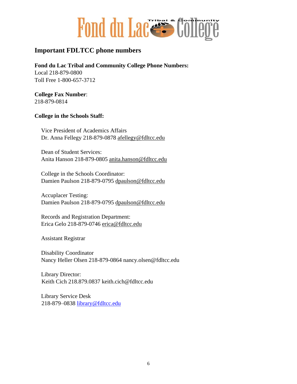

### **Important FDLTCC phone numbers**

**Fond du Lac Tribal and Community College Phone Numbers:**  Local 218-879-0800 Toll Free 1-800-657-3712

**College Fax Number**: 218-879-0814

#### **College in the Schools Staff:**

Vice President of Academics Affairs Dr. Anna Fellegy 218-879-0878 afellegy@fdltcc.edu

Dean of Student Services: Anita Hanson 218-879-0805 anita.hanson@fdltcc.edu

College in the Schools Coordinator: Damien Paulson 218-879-0795 dpaulson@fdltcc.edu

Accuplacer Testing: Damien Paulson 218-879-0795 dpaulson@fdltcc.edu

Records and Registration Department: Erica Gelo 218-879-0746 erica@fdltcc.edu

Assistant Registrar

Disability Coordinator Nancy Heller Olsen 218-879-0864 nancy.olsen@fdltcc.edu

Library Director: Keith Cich 218.879.0837 keith.cich@fdltcc.edu

Library Service Desk 218-879–0838 library@fdltcc.edu